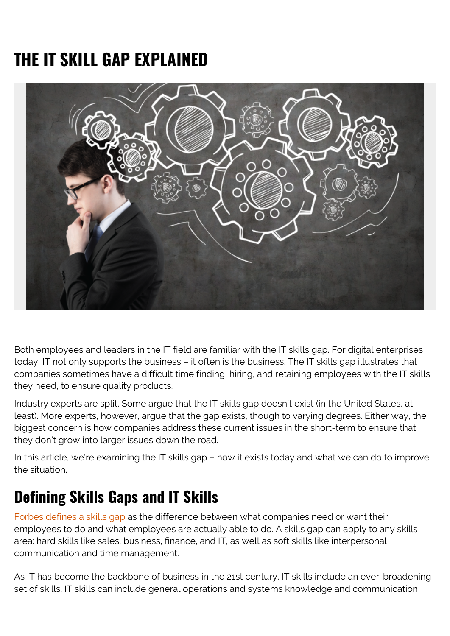# **THE IT SKILL GAP EXPLAINED**



Both employees and leaders in the IT field are familiar with the IT skills gap. For digital enterprises today, IT not only supports the business – it often is the business. The IT skills gap illustrates that companies sometimes have a difficult time finding, hiring, and retaining employees with the IT skills they need, to ensure quality products.

Industry experts are split. Some argue that the IT skills gap doesn't exist (in the United States, at least). More experts, however, argue that the gap exists, though to varying degrees. Either way, the biggest concern is how companies address these current issues in the short-term to ensure that they don't grow into larger issues down the road.

In this article, we're examining the IT skills gap – how it exists today and what we can do to improve the situation.

#### **Defining Skills Gaps and IT Skills**

[Forbes defines a skills gap](https://www.forbes.com/sites/lizryan/2016/08/18/the-most-dangerous-skills-gap-of-all/#32c5762c42d3) as the difference between what companies need or want their employees to do and what employees are actually able to do. A skills gap can apply to any skills area: hard skills like sales, business, finance, and IT, as well as soft skills like interpersonal communication and time management.

As IT has become the backbone of business in the 21st century, IT skills include an ever-broadening set of skills. IT skills can include general operations and systems knowledge and communication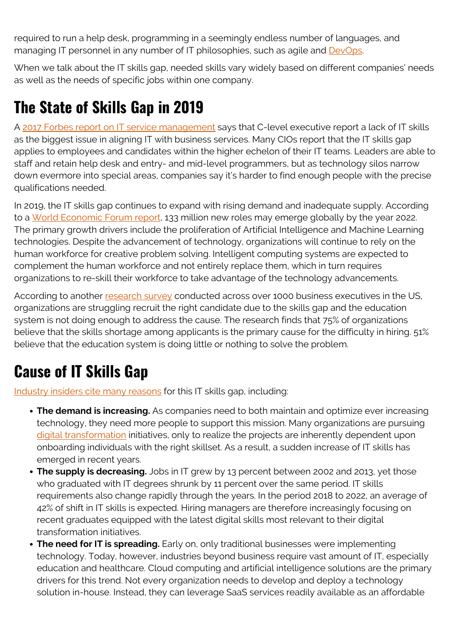required to run a help desk, programming in a seemingly endless number of languages, and managing IT personnel in any number of IT philosophies, such as agile and [DevOps](https://blogs.bmc.com/blogs/devops-basics-introduction/).

When we talk about the IT skills gap, needed skills vary widely based on different companies' needs as well as the needs of specific jobs within one company.

### **The State of Skills Gap in 2019**

A [2017 Forbes report on IT service management](https://web.archive.org/web/20160820063024/http://www.businessnewsdaily.com/4856-information-technology-demand.html) says that C-level executive report a lack of IT skills as the biggest issue in aligning IT with business services. Many CIOs report that the IT skills gap applies to employees and candidates within the higher echelon of their IT teams. Leaders are able to staff and retain help desk and entry- and mid-level programmers, but as technology silos narrow down evermore into special areas, companies say it's harder to find enough people with the precise qualifications needed.

In 2019, the IT skills gap continues to expand with rising demand and inadequate supply. According to a [World Economic Forum report](https://www.weforum.org/agenda/2019/03/the-digital-skills-gap-is-widening-fast-heres-how-to-bridge-it/), 133 million new roles may emerge globally by the year 2022. The primary growth drivers include the proliferation of Artificial Intelligence and Machine Learning technologies. Despite the advancement of technology, organizations will continue to rely on the human workforce for creative problem solving. Intelligent computing systems are expected to complement the human workforce and not entirely replace them, which in turn requires organizations to re-skill their workforce to take advantage of the technology advancements.

According to another [research survey](https://www.shrm.org/hr-today/trends-and-forecasting/research-and-surveys/Documents/SHRM Skills Gap 2019.pdf) conducted across over 1000 business executives in the US, organizations are struggling recruit the right candidate due to the skills gap and the education system is not doing enough to address the cause. The research finds that 75% of organizations believe that the skills shortage among applicants is the primary cause for the difficulty in hiring. 51% believe that the education system is doing little or nothing to solve the problem.

## **Cause of IT Skills Gap**

[Industry insiders cite many reasons](https://web.archive.org/web/20160820063024/http://www.businessnewsdaily.com/4856-information-technology-demand.html) for this IT skills gap, including:

- **The demand is increasing.** As companies need to both maintain and optimize ever increasing technology, they need more people to support this mission. Many organizations are pursuing [digital transformation](https://blogs.bmc.com/blogs/what-is-digital-transformation/) initiatives, only to realize the projects are inherently dependent upon onboarding individuals with the right skillset. As a result, a sudden increase of IT skills has emerged in recent years.
- The supply is decreasing. Jobs in IT grew by 13 percent between 2002 and 2013, yet those who graduated with IT degrees shrunk by 11 percent over the same period. IT skills requirements also change rapidly through the years. In the period 2018 to 2022, an average of 42% of shift in IT skills is expected. Hiring managers are therefore increasingly focusing on recent graduates equipped with the latest digital skills most relevant to their digital transformation initiatives.
- **The need for IT is spreading.** Early on, only traditional businesses were implementing technology. Today, however, industries beyond business require vast amount of IT, especially education and healthcare. Cloud computing and artificial intelligence solutions are the primary drivers for this trend. Not every organization needs to develop and deploy a technology solution in-house. Instead, they can leverage SaaS services readily available as an affordable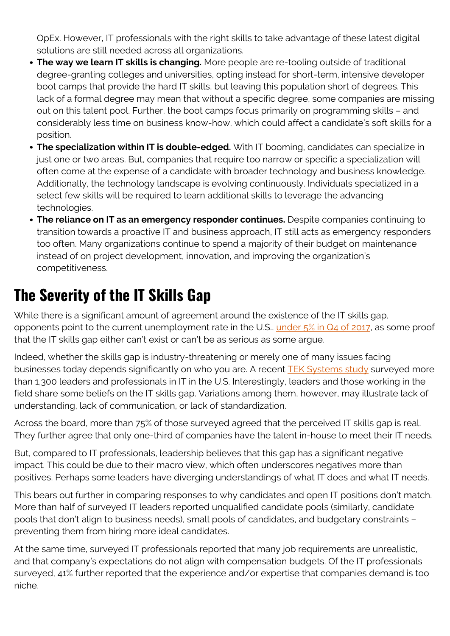OpEx. However, IT professionals with the right skills to take advantage of these latest digital solutions are still needed across all organizations.

- **The way we learn IT skills is changing.** More people are re-tooling outside of traditional degree-granting colleges and universities, opting instead for short-term, intensive developer boot camps that provide the hard IT skills, but leaving this population short of degrees. This lack of a formal degree may mean that without a specific degree, some companies are missing out on this talent pool. Further, the boot camps focus primarily on programming skills – and considerably less time on business know-how, which could affect a candidate's soft skills for a position.
- **The specialization within IT is double-edged.** With IT booming, candidates can specialize in just one or two areas. But, companies that require too narrow or specific a specialization will often come at the expense of a candidate with broader technology and business knowledge. Additionally, the technology landscape is evolving continuously. Individuals specialized in a select few skills will be required to learn additional skills to leverage the advancing technologies.
- **The reliance on IT as an emergency responder continues.** Despite companies continuing to transition towards a proactive IT and business approach, IT still acts as emergency responders too often. Many organizations continue to spend a majority of their budget on maintenance instead of on project development, innovation, and improving the organization's competitiveness.

#### **The Severity of the IT Skills Gap**

While there is a significant amount of agreement around the existence of the IT skills gap, opponents point to the current unemployment rate in the U.S., [under 5% in Q4 of 2017](https://www.technologyreview.com/s/608707/the-myth-of-the-skills-gap/), as some proof that the IT skills gap either can't exist or can't be as serious as some argue.

Indeed, whether the skills gap is industry-threatening or merely one of many issues facing businesses today depends significantly on who you are. A recent **TEK Systems study** surveyed more than 1,300 leaders and professionals in IT in the U.S. Interestingly, leaders and those working in the field share some beliefs on the IT skills gap. Variations among them, however, may illustrate lack of understanding, lack of communication, or lack of standardization.

Across the board, more than 75% of those surveyed agreed that the perceived IT skills gap is real. They further agree that only one-third of companies have the talent in-house to meet their IT needs.

But, compared to IT professionals, leadership believes that this gap has a significant negative impact. This could be due to their macro view, which often underscores negatives more than positives. Perhaps some leaders have diverging understandings of what IT does and what IT needs.

This bears out further in comparing responses to why candidates and open IT positions don't match. More than half of surveyed IT leaders reported unqualified candidate pools (similarly, candidate pools that don't align to business needs), small pools of candidates, and budgetary constraints – preventing them from hiring more ideal candidates.

At the same time, surveyed IT professionals reported that many job requirements are unrealistic, and that company's expectations do not align with compensation budgets. Of the IT professionals surveyed, 41% further reported that the experience and/or expertise that companies demand is too niche.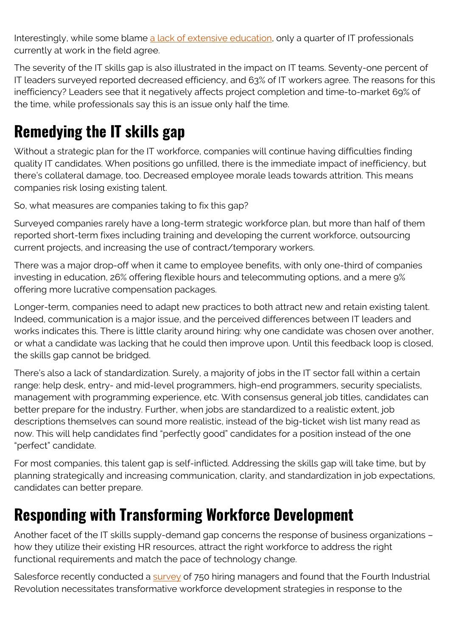Interestingly, while some blame [a lack of extensive education,](https://trainingmag.com/trgmag-article/bridging-skills-gap) only a quarter of IT professionals currently at work in the field agree.

The severity of the IT skills gap is also illustrated in the impact on IT teams. Seventy-one percent of IT leaders surveyed reported decreased efficiency, and 63% of IT workers agree. The reasons for this inefficiency? Leaders see that it negatively affects project completion and time-to-market 69% of the time, while professionals say this is an issue only half the time.

## **Remedying the IT skills gap**

Without a strategic plan for the IT workforce, companies will continue having difficulties finding quality IT candidates. When positions go unfilled, there is the immediate impact of inefficiency, but there's collateral damage, too. Decreased employee morale leads towards attrition. This means companies risk losing existing talent.

So, what measures are companies taking to fix this gap?

Surveyed companies rarely have a long-term strategic workforce plan, but more than half of them reported short-term fixes including training and developing the current workforce, outsourcing current projects, and increasing the use of contract/temporary workers.

There was a major drop-off when it came to employee benefits, with only one-third of companies investing in education, 26% offering flexible hours and telecommuting options, and a mere 9% offering more lucrative compensation packages.

Longer-term, companies need to adapt new practices to both attract new and retain existing talent. Indeed, communication is a major issue, and the perceived differences between IT leaders and works indicates this. There is little clarity around hiring: why one candidate was chosen over another, or what a candidate was lacking that he could then improve upon. Until this feedback loop is closed, the skills gap cannot be bridged.

There's also a lack of standardization. Surely, a majority of jobs in the IT sector fall within a certain range: help desk, entry- and mid-level programmers, high-end programmers, security specialists, management with programming experience, etc. With consensus general job titles, candidates can better prepare for the industry. Further, when jobs are standardized to a realistic extent, job descriptions themselves can sound more realistic, instead of the big-ticket wish list many read as now. This will help candidates find "perfectly good" candidates for a position instead of the one "perfect" candidate.

For most companies, this talent gap is self-inflicted. Addressing the skills gap will take time, but by planning strategically and increasing communication, clarity, and standardization in job expectations, candidates can better prepare.

#### **Responding with Transforming Workforce Development**

Another facet of the IT skills supply-demand gap concerns the response of business organizations – how they utilize their existing HR resources, attract the right workforce to address the right functional requirements and match the pace of technology change.

Salesforce recently conducted a [survey](https://www.salesforce.com/form/conf/workforce-research/) of 750 hiring managers and found that the Fourth Industrial Revolution necessitates transformative workforce development strategies in response to the